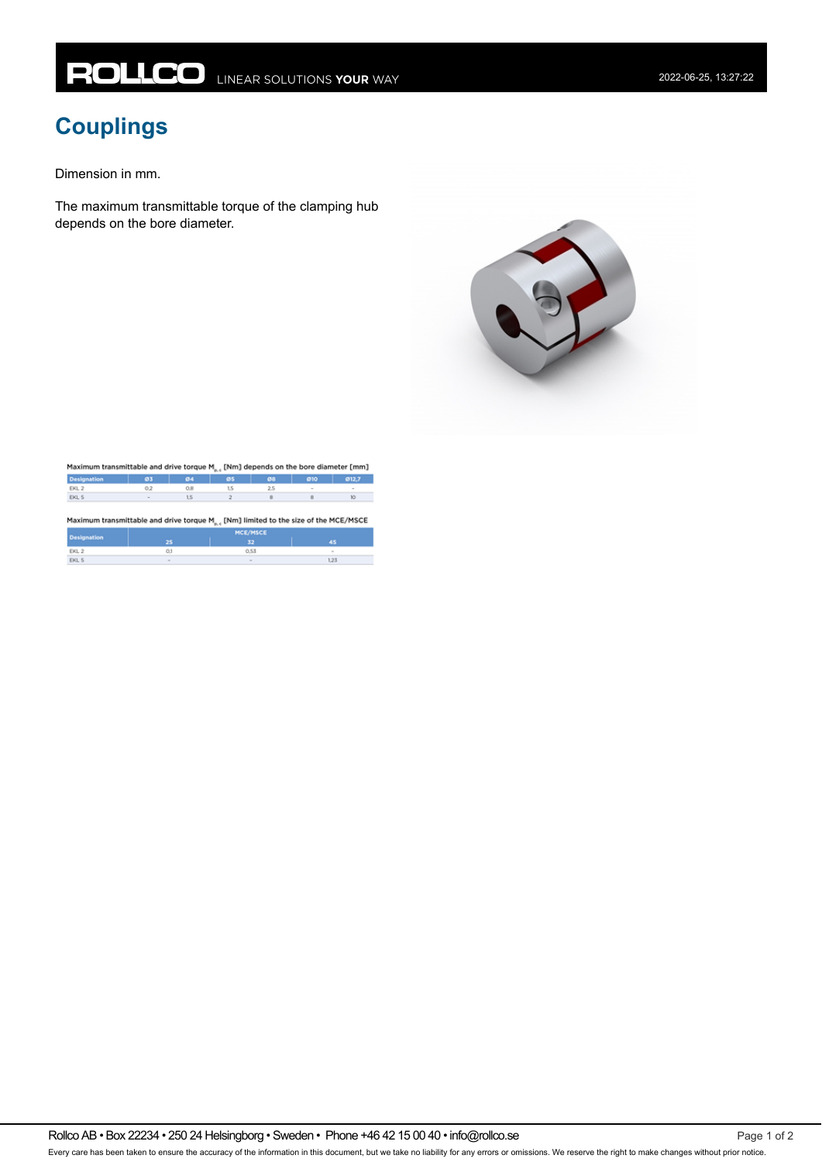## **Couplings**

Dimension in mm.

The maximum transmittable torque of the clamping hub depends on the bore diameter.



|                                                                                                 | Maximum transmittable and drive torque M <sub>az</sub> [Nm] depends on the bore diameter [mm] |     |          |           |        |        |
|-------------------------------------------------------------------------------------------------|-----------------------------------------------------------------------------------------------|-----|----------|-----------|--------|--------|
| <b>Designation</b>                                                                              | 03                                                                                            | 04  | 05       | <b>GB</b> | 010    | @12.7  |
| EKL <sub>2</sub>                                                                                | 0.2                                                                                           | 0.8 | 1.5      | 2.5       | $\sim$ | $\sim$ |
| EKL 5                                                                                           |                                                                                               | 1,5 |          | ٠         | в      | 10     |
|                                                                                                 |                                                                                               |     |          |           |        |        |
| Maximum transmittable and drive torque M <sub>az</sub> [Nm] limited to the size of the MCE/MSCE |                                                                                               |     | MCE/MSCE |           |        |        |
| <b>Designation</b>                                                                              | 25                                                                                            |     | 32       |           |        | 45     |
| EKL <sub>2</sub>                                                                                | Ō.I                                                                                           |     | 0.53     |           |        | $\sim$ |

Rollco AB • Box 22234 • 250 24 Helsingborg • Sweden • Phone +46 42 15 00 40 • info@rollco.se Page 1 of 2

Every care has been taken to ensure the accuracy of the information in this document, but we take no liability for any errors or omissions. We reserve the right to make changes without prior notice.